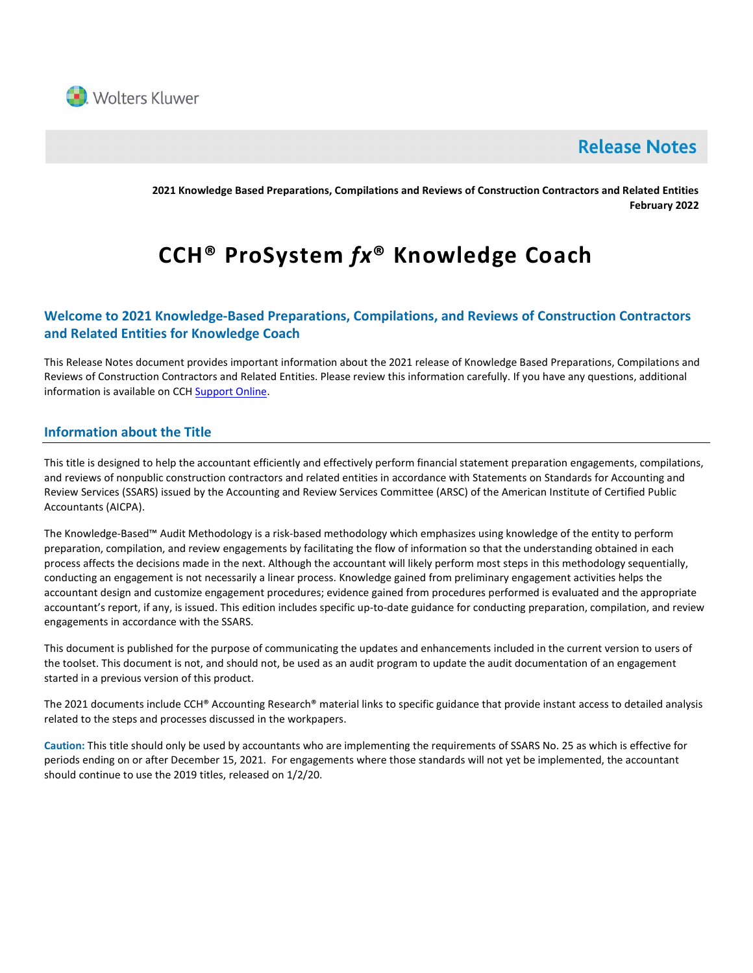

# **Release Notes**

2021 Knowledge Based Preparations, Compilations and Reviews of Construction Contractors and Related Entities February 2022

# CCH® ProSystem fx® Knowledge Coach

# Welcome to 2021 Knowledge-Based Preparations, Compilations, and Reviews of Construction Contractors and Related Entities for Knowledge Coach

This Release Notes document provides important information about the 2021 release of Knowledge Based Preparations, Compilations and Reviews of Construction Contractors and Related Entities. Please review this information carefully. If you have any questions, additional information is available on CCH Support Online.

# Information about the Title

This title is designed to help the accountant efficiently and effectively perform financial statement preparation engagements, compilations, and reviews of nonpublic construction contractors and related entities in accordance with Statements on Standards for Accounting and Review Services (SSARS) issued by the Accounting and Review Services Committee (ARSC) of the American Institute of Certified Public Accountants (AICPA).

The Knowledge-Based™ Audit Methodology is a risk-based methodology which emphasizes using knowledge of the entity to perform preparation, compilation, and review engagements by facilitating the flow of information so that the understanding obtained in each process affects the decisions made in the next. Although the accountant will likely perform most steps in this methodology sequentially, conducting an engagement is not necessarily a linear process. Knowledge gained from preliminary engagement activities helps the accountant design and customize engagement procedures; evidence gained from procedures performed is evaluated and the appropriate accountant's report, if any, is issued. This edition includes specific up-to-date guidance for conducting preparation, compilation, and review engagements in accordance with the SSARS.

This document is published for the purpose of communicating the updates and enhancements included in the current version to users of the toolset. This document is not, and should not, be used as an audit program to update the audit documentation of an engagement started in a previous version of this product.

The 2021 documents include CCH® Accounting Research® material links to specific guidance that provide instant access to detailed analysis related to the steps and processes discussed in the workpapers.

Caution: This title should only be used by accountants who are implementing the requirements of SSARS No. 25 as which is effective for periods ending on or after December 15, 2021. For engagements where those standards will not yet be implemented, the accountant should continue to use the 2019 titles, released on 1/2/20.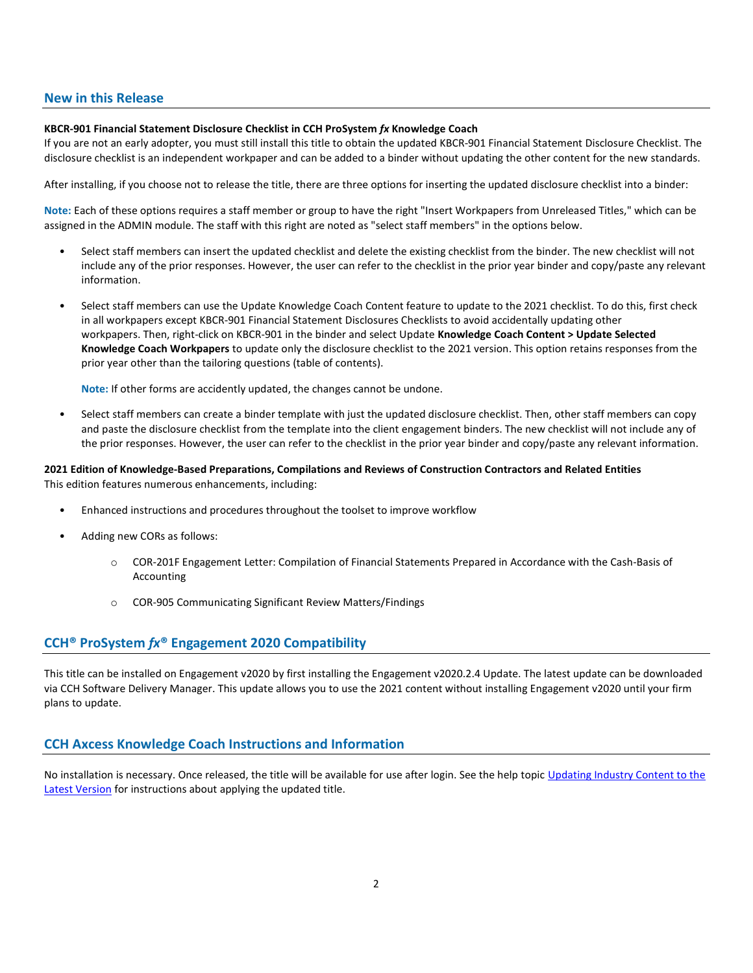## New in this Release

#### KBCR-901 Financial Statement Disclosure Checklist in CCH ProSystem fx Knowledge Coach

If you are not an early adopter, you must still install this title to obtain the updated KBCR-901 Financial Statement Disclosure Checklist. The disclosure checklist is an independent workpaper and can be added to a binder without updating the other content for the new standards.

After installing, if you choose not to release the title, there are three options for inserting the updated disclosure checklist into a binder:

Note: Each of these options requires a staff member or group to have the right "Insert Workpapers from Unreleased Titles," which can be assigned in the ADMIN module. The staff with this right are noted as "select staff members" in the options below.

- Select staff members can insert the updated checklist and delete the existing checklist from the binder. The new checklist will not include any of the prior responses. However, the user can refer to the checklist in the prior year binder and copy/paste any relevant information.
- Select staff members can use the Update Knowledge Coach Content feature to update to the 2021 checklist. To do this, first check in all workpapers except KBCR-901 Financial Statement Disclosures Checklists to avoid accidentally updating other workpapers. Then, right-click on KBCR-901 in the binder and select Update Knowledge Coach Content > Update Selected Knowledge Coach Workpapers to update only the disclosure checklist to the 2021 version. This option retains responses from the prior year other than the tailoring questions (table of contents).

Note: If other forms are accidently updated, the changes cannot be undone.

• Select staff members can create a binder template with just the updated disclosure checklist. Then, other staff members can copy and paste the disclosure checklist from the template into the client engagement binders. The new checklist will not include any of the prior responses. However, the user can refer to the checklist in the prior year binder and copy/paste any relevant information.

### 2021 Edition of Knowledge-Based Preparations, Compilations and Reviews of Construction Contractors and Related Entities This edition features numerous enhancements, including:

- Enhanced instructions and procedures throughout the toolset to improve workflow
- Adding new CORs as follows:
	- o COR-201F Engagement Letter: Compilation of Financial Statements Prepared in Accordance with the Cash-Basis of Accounting
	- o COR-905 Communicating Significant Review Matters/Findings

# CCH® ProSystem fx® Engagement 2020 Compatibility

This title can be installed on Engagement v2020 by first installing the Engagement v2020.2.4 Update. The latest update can be downloaded via CCH Software Delivery Manager. This update allows you to use the 2021 content without installing Engagement v2020 until your firm plans to update.

# CCH Axcess Knowledge Coach Instructions and Information

No installation is necessary. Once released, the title will be available for use after login. See the help topic Updating Industry Content to the Latest Version for instructions about applying the updated title.